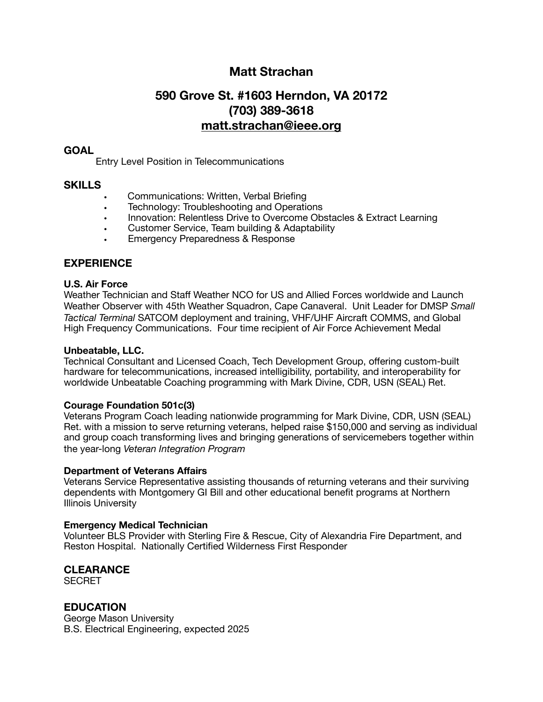# **Matt Strachan**

# **590 Grove St. #1603 Herndon, VA 20172 (703) 389-3618 [matt.strachan@ieee.org](mailto:matt.strachan@ieee.org)**

## **GOAL**

Entry Level Position in Telecommunications

#### **SKILLS**

- **•** Communications: Written, Verbal Briefing
- **•** Technology: Troubleshooting and Operations
- **•** Innovation: Relentless Drive to Overcome Obstacles & Extract Learning
- **•** Customer Service, Team building & Adaptability
- **•** Emergency Preparedness & Response

## **EXPERIENCE**

#### **U.S. Air Force**

Weather Technician and Staff Weather NCO for US and Allied Forces worldwide and Launch Weather Observer with 45th Weather Squadron, Cape Canaveral. Unit Leader for DMSP *Small Tactical Terminal* SATCOM deployment and training, VHF/UHF Aircraft COMMS, and Global High Frequency Communications. Four time recipient of Air Force Achievement Medal

#### **Unbeatable, LLC.**

Technical Consultant and Licensed Coach, Tech Development Group, offering custom-built hardware for telecommunications, increased intelligibility, portability, and interoperability for worldwide Unbeatable Coaching programming with Mark Divine, CDR, USN (SEAL) Ret.

#### **Courage Foundation 501c(3)**

Veterans Program Coach leading nationwide programming for Mark Divine, CDR, USN (SEAL) Ret. with a mission to serve returning veterans, helped raise \$150,000 and serving as individual and group coach transforming lives and bringing generations of servicemebers together within the year-long *Veteran Integration Program*

#### **Department of Veterans Affairs**

Veterans Service Representative assisting thousands of returning veterans and their surviving dependents with Montgomery GI Bill and other educational benefit programs at Northern Illinois University

#### **Emergency Medical Technician**

Volunteer BLS Provider with Sterling Fire & Rescue, City of Alexandria Fire Department, and Reston Hospital. Nationally Certified Wilderness First Responder

## **CLEARANCE**

**SECRET** 

#### **EDUCATION**

George Mason University B.S. Electrical Engineering, expected 2025